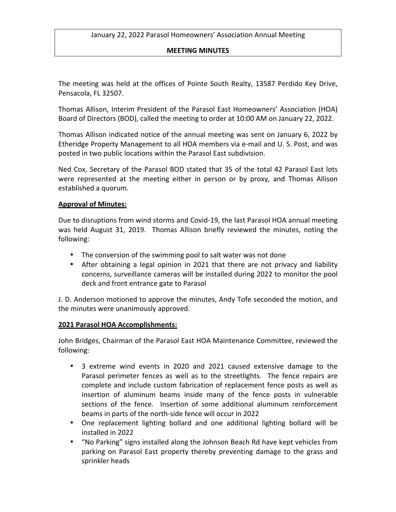### **MEETING MINUTES**

The meeting was held at the offices of Pointe South Realty, 13587 Perdido Key Drive, Pensacola, FL 32507.

Thomas Allison, Interim President of the Parasol East Homeowners' Association (HOA) Board of Directors (BOD), called the meeting to order at 10:00 AM on January 22, 2022.

Thomas Allison indicated notice of the annual meeting was sent on January 6, 2022 by Etheridge Property Management to all HOA members via e-mail and U. S. Post, and was posted in two public locations within the Parasol East subdivision.

Ned Cox, Secretary of the Parasol BOD stated that 35 of the total 42 Parasol East lots were represented at the meeting either in person or by proxy, and Thomas Allison established a quorum.

### **Approval of Minutes:**

Due to disruptions from wind storms and Covid-19, the last Parasol HOA annual meeting was held August 31, 2019. Thomas Allison briefly reviewed the minutes, noting the following:

- The conversion of the swimming pool to salt water was not done
- After obtaining a legal opinion in 2021 that there are not privacy and liability concerns, surveillance cameras will be installed during 2022 to monitor the pool deck and front entrance gate to Parasol

J. D. Anderson motioned to approve the minutes, Andy Tofe seconded the motion, and the minutes were unanimously approved.

### **2021 Parasol HOA Accomplishments:**

John Bridges, Chairman of the Parasol East HOA Maintenance Committee, reviewed the following:

- 3 extreme wind events in 2020 and 2021 caused extensive damage to the Parasol perimeter fences as well as to the streetlights. The fence repairs are complete and include custom fabrication of replacement fence posts as well as insertion of aluminum beams inside many of the fence posts in vulnerable sections of the fence. Insertion of some additional aluminum reinforcement beams in parts of the north-side fence will occur in 2022
- One replacement lighting bollard and one additional lighting bollard will be installed in 2022
- "No Parking" signs installed along the Johnson Beach Rd have kept vehicles from parking on Parasol East property thereby preventing damage to the grass and sprinkler heads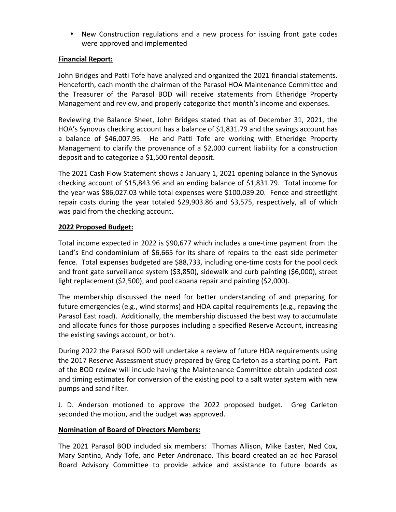• New Construction regulations and a new process for issuing front gate codes were approved and implemented

## **Financial Report:**

John Bridges and Patti Tofe have analyzed and organized the 2021 financial statements. Henceforth, each month the chairman of the Parasol HOA Maintenance Committee and the Treasurer of the Parasol BOD will receive statements from Etheridge Property Management and review, and properly categorize that month's income and expenses.

Reviewing the Balance Sheet, John Bridges stated that as of December 31, 2021, the HOA's Synovus checking account has a balance of \$1,831.79 and the savings account has a balance of \$46,007.95. He and Patti Tofe are working with Etheridge Property Management to clarify the provenance of a \$2,000 current liability for a construction deposit and to categorize a \$1,500 rental deposit.

The 2021 Cash Flow Statement shows a January 1, 2021 opening balance in the Synovus checking account of \$15,843.96 and an ending balance of \$1,831.79. Total income for the year was  $$86,027.03$  while total expenses were  $$100,039.20$ . Fence and streetlight repair costs during the year totaled \$29,903.86 and \$3,575, respectively, all of which was paid from the checking account.

# **2022 Proposed Budget:**

Total income expected in 2022 is \$90,677 which includes a one-time payment from the Land's End condominium of \$6,665 for its share of repairs to the east side perimeter fence. Total expenses budgeted are \$88,733, including one-time costs for the pool deck and front gate surveillance system  $(53,850)$ , sidewalk and curb painting  $(56,000)$ , street light replacement  $(52,500)$ , and pool cabana repair and painting  $(52,000)$ .

The membership discussed the need for better understanding of and preparing for future emergencies (e.g., wind storms) and HOA capital requirements (e.g., repaving the Parasol East road). Additionally, the membership discussed the best way to accumulate and allocate funds for those purposes including a specified Reserve Account, increasing the existing savings account, or both.

During 2022 the Parasol BOD will undertake a review of future HOA requirements using the 2017 Reserve Assessment study prepared by Greg Carleton as a starting point. Part of the BOD review will include having the Maintenance Committee obtain updated cost and timing estimates for conversion of the existing pool to a salt water system with new pumps and sand filter.

J. D. Anderson motioned to approve the 2022 proposed budget. Greg Carleton seconded the motion, and the budget was approved.

### **Nomination of Board of Directors Members:**

The 2021 Parasol BOD included six members: Thomas Allison, Mike Easter, Ned Cox, Mary Santina, Andy Tofe, and Peter Andronaco. This board created an ad hoc Parasol Board Advisory Committee to provide advice and assistance to future boards as